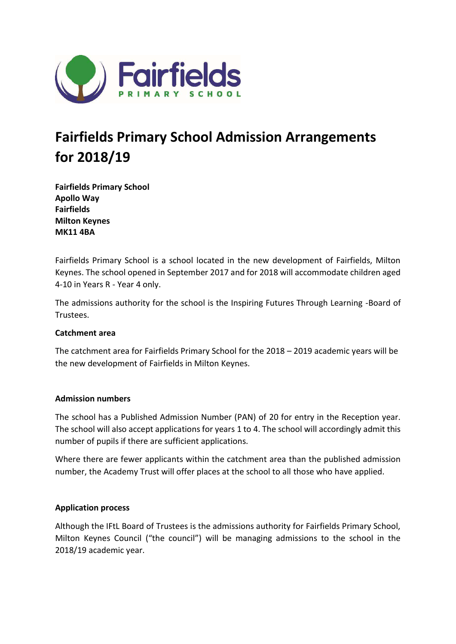

# **Fairfields Primary School Admission Arrangements** for 2018/19

**Fairfields Primary School Apollo Way Fairfields Milton Keynes MK11 4BA** 

Fairfields Primary School is a school located in the new development of Fairfields, Milton Keynes. The school opened in September 2017 and for 2018 will accommodate children aged 4-10 in Years R - Year 4 only.

The admissions authority for the school is the Inspiring Futures Through Learning -Board of Trustees.

# Catchment area

The catchment area for Fairfields Primary School for the  $2018 - 2019$  academic years will be the new development of Fairfields in Milton Keynes.

#### **Admission numbers**

The school has a Published Admission Number (PAN) of 20 for entry in the Reception year. The school will also accept applications for years 1 to 4. The school will accordingly admit this number of pupils if there are sufficient applications.

Where there are fewer applicants within the catchment area than the published admission number, the Academy Trust will offer places at the school to all those who have applied.

# **Application process**

Although the IFtL Board of Trustees is the admissions authority for Fairfields Primary School, Milton Keynes Council ("the council") will be managing admissions to the school in the 2018/19 academic year.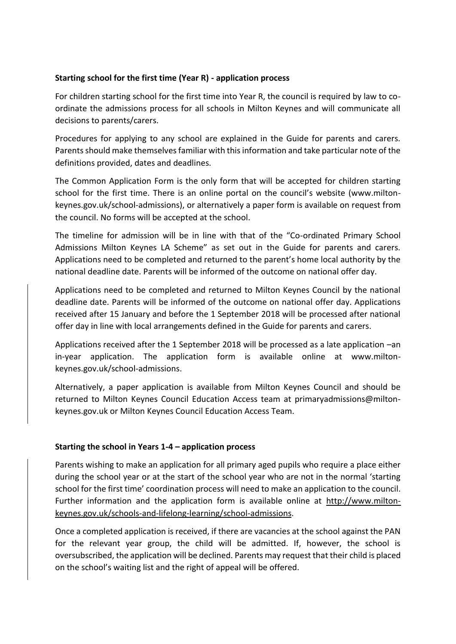## Starting school for the first time (Year R) - application process

For children starting school for the first time into Year R, the council is required by law to coordinate the admissions process for all schools in Milton Keynes and will communicate all decisions to parents/carers.

Procedures for applying to any school are explained in the Guide for parents and carers. Parents should make themselves familiar with this information and take particular note of the definitions provided, dates and deadlines.

The Common Application Form is the only form that will be accepted for children starting school for the first time. There is an online portal on the council's website (www.miltonkeynes.gov.uk/school-admissions), or alternatively a paper form is available on request from the council. No forms will be accepted at the school.

The timeline for admission will be in line with that of the "Co-ordinated Primary School Admissions Milton Keynes LA Scheme" as set out in the Guide for parents and carers. Applications need to be completed and returned to the parent's home local authority by the national deadline date. Parents will be informed of the outcome on national offer day.

Applications need to be completed and returned to Milton Keynes Council by the national deadline date. Parents will be informed of the outcome on national offer day. Applications received after 15 January and before the 1 September 2018 will be processed after national offer day in line with local arrangements defined in the Guide for parents and carers.

Applications received after the 1 September 2018 will be processed as a late application -an in-year application. The application form is available online at www.miltonkeynes.gov.uk/school-admissions.

Alternatively, a paper application is available from Milton Keynes Council and should be returned to Milton Keynes Council Education Access team at primaryadmissions@miltonkeynes.gov.uk or Milton Keynes Council Education Access Team.

# Starting the school in Years 1-4 - application process

Parents wishing to make an application for all primary aged pupils who require a place either during the school year or at the start of the school year who are not in the normal 'starting school for the first time' coordination process will need to make an application to the council. Further information and the application form is available online at http://www.miltonkeynes.gov.uk/schools-and-lifelong-learning/school-admissions.

Once a completed application is received, if there are vacancies at the school against the PAN for the relevant year group, the child will be admitted. If, however, the school is oversubscribed, the application will be declined. Parents may request that their child is placed on the school's waiting list and the right of appeal will be offered.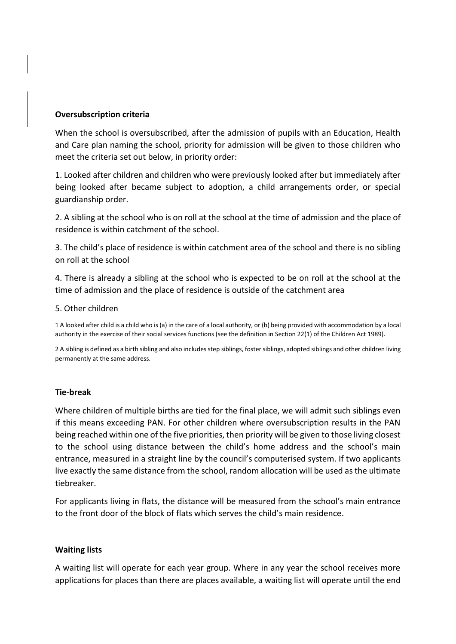#### **Oversubscription criteria**

When the school is oversubscribed, after the admission of pupils with an Education, Health and Care plan naming the school, priority for admission will be given to those children who meet the criteria set out below, in priority order:

1. Looked after children and children who were previously looked after but immediately after being looked after became subject to adoption, a child arrangements order, or special guardianship order.

2. A sibling at the school who is on roll at the school at the time of admission and the place of residence is within catchment of the school.

3. The child's place of residence is within catchment area of the school and there is no sibling on roll at the school

4. There is already a sibling at the school who is expected to be on roll at the school at the time of admission and the place of residence is outside of the catchment area

#### 5. Other children

1 A looked after child is a child who is (a) in the care of a local authority, or (b) being provided with accommodation by a local authority in the exercise of their social services functions (see the definition in Section 22(1) of the Children Act 1989).

2 A sibling is defined as a birth sibling and also includes step siblings, foster siblings, adopted siblings and other children living permanently at the same address.

#### **Tie-break**

Where children of multiple births are tied for the final place, we will admit such siblings even if this means exceeding PAN. For other children where oversubscription results in the PAN being reached within one of the five priorities, then priority will be given to those living closest to the school using distance between the child's home address and the school's main entrance, measured in a straight line by the council's computerised system. If two applicants live exactly the same distance from the school, random allocation will be used as the ultimate tiebreaker.

For applicants living in flats, the distance will be measured from the school's main entrance to the front door of the block of flats which serves the child's main residence.

#### **Waiting lists**

A waiting list will operate for each year group. Where in any year the school receives more applications for places than there are places available, a waiting list will operate until the end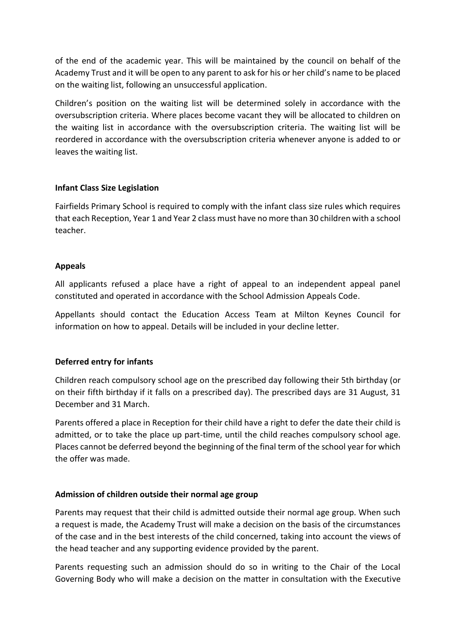of the end of the academic year. This will be maintained by the council on behalf of the Academy Trust and it will be open to any parent to ask for his or her child's name to be placed on the waiting list, following an unsuccessful application.

Children's position on the waiting list will be determined solely in accordance with the oversubscription criteria. Where places become vacant they will be allocated to children on the waiting list in accordance with the oversubscription criteria. The waiting list will be reordered in accordance with the oversubscription criteria whenever anyone is added to or leaves the waiting list.

# **Infant Class Size Legislation**

Fairfields Primary School is required to comply with the infant class size rules which requires that each Reception, Year 1 and Year 2 class must have no more than 30 children with a school teacher.

## **Appeals**

All applicants refused a place have a right of appeal to an independent appeal panel constituted and operated in accordance with the School Admission Appeals Code.

Appellants should contact the Education Access Team at Milton Keynes Council for information on how to appeal. Details will be included in your decline letter.

# **Deferred entry for infants**

Children reach compulsory school age on the prescribed day following their 5th birthday (or on their fifth birthday if it falls on a prescribed day). The prescribed days are 31 August, 31 December and 31 March.

Parents offered a place in Reception for their child have a right to defer the date their child is admitted, or to take the place up part-time, until the child reaches compulsory school age. Places cannot be deferred beyond the beginning of the final term of the school year for which the offer was made.

#### **Admission of children outside their normal age group**

Parents may request that their child is admitted outside their normal age group. When such a request is made, the Academy Trust will make a decision on the basis of the circumstances of the case and in the best interests of the child concerned, taking into account the views of the head teacher and any supporting evidence provided by the parent.

Parents requesting such an admission should do so in writing to the Chair of the Local Governing Body who will make a decision on the matter in consultation with the Executive